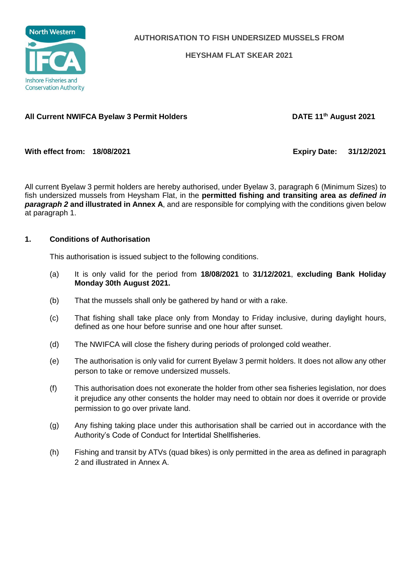

**AUTHORISATION TO FISH UNDERSIZED MUSSELS FROM**

**HEYSHAM FLAT SKEAR 2021**

## **All Current NWIFCA Byelaw 3 Permit Holders DATE 11th August 2021**

**With effect from: 18/08/2021 Expiry Date: 31/12/2021**

All current Byelaw 3 permit holders are hereby authorised, under Byelaw 3, paragraph 6 (Minimum Sizes) to fish undersized mussels from Heysham Flat, in the **permitted fishing and transiting area a***s defined in paragraph 2* **and illustrated in Annex A**, and are responsible for complying with the conditions given below at paragraph 1.

## **1. Conditions of Authorisation**

This authorisation is issued subject to the following conditions.

- (a) It is only valid for the period from **18/08/2021** to **31/12/2021**, **excluding Bank Holiday Monday 30th August 2021.**
- (b) That the mussels shall only be gathered by hand or with a rake.
- (c) That fishing shall take place only from Monday to Friday inclusive, during daylight hours, defined as one hour before sunrise and one hour after sunset.
- (d) The NWIFCA will close the fishery during periods of prolonged cold weather.
- (e) The authorisation is only valid for current Byelaw 3 permit holders. It does not allow any other person to take or remove undersized mussels.
- (f) This authorisation does not exonerate the holder from other sea fisheries legislation, nor does it prejudice any other consents the holder may need to obtain nor does it override or provide permission to go over private land.
- (g) Any fishing taking place under this authorisation shall be carried out in accordance with the Authority's Code of Conduct for Intertidal Shellfisheries.
- (h) Fishing and transit by ATVs (quad bikes) is only permitted in the area as defined in paragraph 2 and illustrated in Annex A.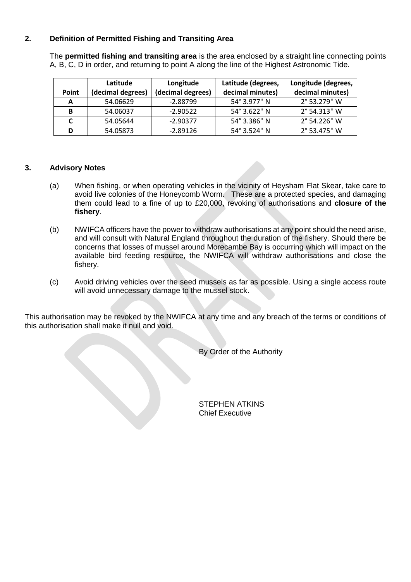## **2. Definition of Permitted Fishing and Transiting Area**

The **permitted fishing and transiting area** is the area enclosed by a straight line connecting points A, B, C, D in order, and returning to point A along the line of the Highest Astronomic Tide.

|              | Latitude          | Longitude         | Latitude (degrees, | Longitude (degrees, |
|--------------|-------------------|-------------------|--------------------|---------------------|
| <b>Point</b> | (decimal degrees) | (decimal degrees) | decimal minutes)   | decimal minutes)    |
| A            | 54.06629          | $-2.88799$        | 54° 3.977" N       | 2° 53.279" W        |
| в            | 54.06037          | $-2.90522$        | 54° 3.622" N       | 2° 54.313" W        |
|              | 54.05644          | $-2.90377$        | 54° 3.386" N       | 2° 54.226" W        |
| D            | 54.05873          | $-2.89126$        | 54° 3.524" N       | 2° 53.475" W        |

## **3. Advisory Notes**

- (a) When fishing, or when operating vehicles in the vicinity of Heysham Flat Skear, take care to avoid live colonies of the Honeycomb Worm. These are a protected species, and damaging them could lead to a fine of up to £20,000, revoking of authorisations and **closure of the fishery**.
- (b) NWIFCA officers have the power to withdraw authorisations at any point should the need arise, and will consult with Natural England throughout the duration of the fishery. Should there be concerns that losses of mussel around Morecambe Bay is occurring which will impact on the available bird feeding resource, the NWIFCA will withdraw authorisations and close the fishery.
- (c) Avoid driving vehicles over the seed mussels as far as possible. Using a single access route will avoid unnecessary damage to the mussel stock.

This authorisation may be revoked by the NWIFCA at any time and any breach of the terms or conditions of this authorisation shall make it null and void.

By Order of the Authority

STEPHEN ATKINS Chief Executive